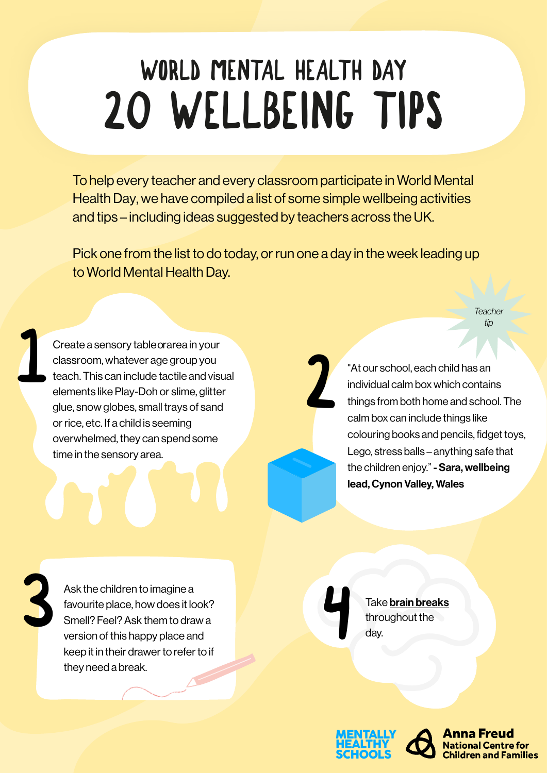## WORLD MENTAL HEALTH DAY 20 WELLBEING TIPS

To help every teacher and every classroom participate in World Mental Health Day, we have compiled a list of some simple wellbeing activities and tips – including ideas suggested by teachers across the UK.

Pick one from the list to do today, or run one a day in the week leading up to World Mental Health Day.

2

*Teache tip*

Create a sensory table orarea in your classroom, whatever age group you teach. This can include tactile and visual elements like Play-Doh or slime, glitter glue, snow globes, small trays of sand or rice, etc. If a child is seeming overwhelmed, they can spend some time in the sensory area. Create a sensory table orarea in your<br>classroom, whatever age group you<br>teach. This can include tactile and visual<br>individual calm box which contain

individual calm box which contains things from both home and school. The calm box can include things like colouring books and pencils, fidget toys, Lego, stress balls – anything safe that the children enjoy." - Sara, wellbeing lead, Cynon Valley, Wales

Ask the children to imagine a favourite place, how does it look? Smell? Feel? Ask them to draw a version of this happy place and keep it in their drawer to refer to if they need a break. Ask the children to imagine a<br>favourite place, how does it look?<br>Smell? Feel? Ask them to draw a<br>version of this happy place and<br>day.

throughout the day.





**Children and Families**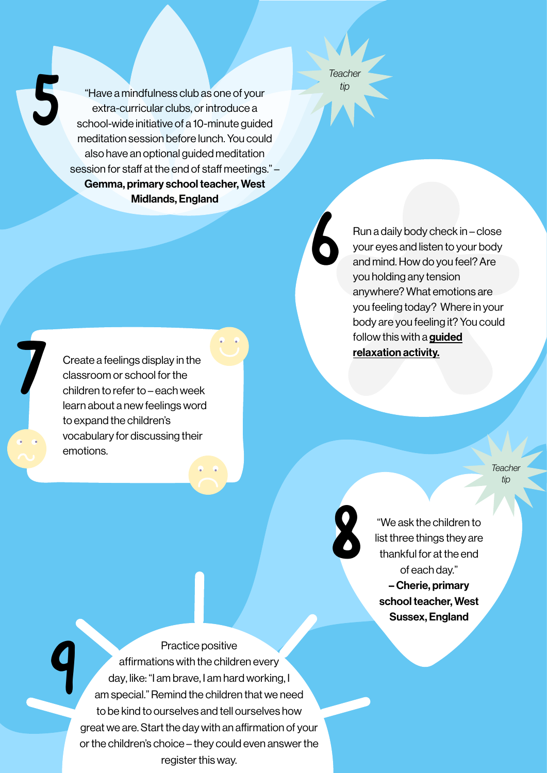5 "Have a mindfulness club as one of your extra-curricular clubs, or introduce a school-wide initiative of a 10-minute guided meditation session before lunch. You could also have an optional guided meditation session for staff at the end of staff meetings." – Gemma, primary school teacher, West Midlands, England

*Teacher tip*

6

8

Run a daily body check in – close your eyes and listen to your body and mind. How do you feel? Are you holding any tension anywhere? What emotions are you feeling today? Where in your body are you feeling it? You could follow this with a guided [relaxation activity.](https://mentallyhealthyschools.org.uk/resources/mindfulness-calendar-daily-five-minute-activities/)

Create a feelings display in the classroom or school for the children to refer to – each week learn about a new feelings word to expand the children's vocabulary for discussing their emotions.

> **Teacher** *tip*

"We ask the children to list three things they are thankful for at the end of each day." – Cherie, primary school teacher, West Sussex, England

Practice positive affirmations with the children every day, like: "I am brave, I am hard working, I am special." Remind the children that we need to be kind to ourselves and tell ourselves how great we are. Start the day with an affirmation of your or the children's choice – they could even answer the register this way. 9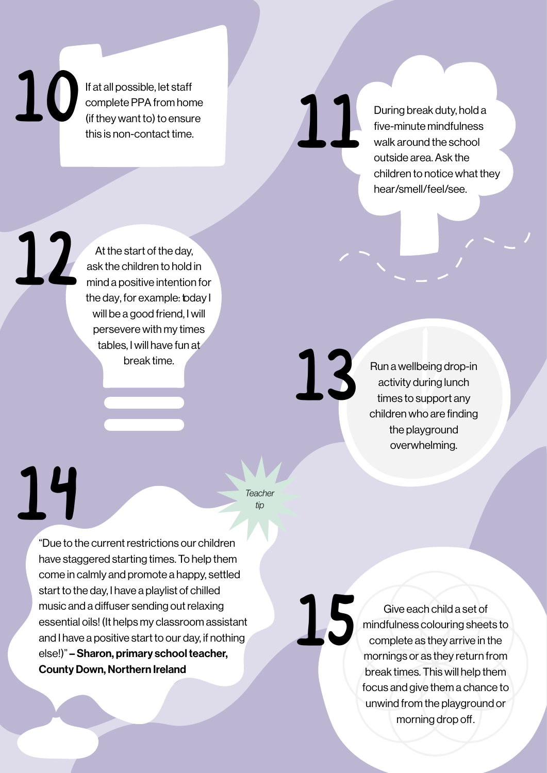If at all possible, let staff<br>
complete PPA from home<br>
(if they want to) to ensure<br>  $\frac{1}{2}$ <br>  $\frac{1}{2}$ <br>  $\frac{1}{2}$ <br>  $\frac{1}{2}$ <br>  $\frac{1}{2}$ <br>  $\frac{1}{2}$ <br>  $\frac{1}{2}$ <br>  $\frac{1}{2}$ <br>  $\frac{1}{2}$ <br>  $\frac{1}{2}$ <br>  $\frac{1}{2}$ <br>  $\frac{1}{2}$ <br>  $\frac{1}{$ If at all possible, let staff complete PPA from home (if they want to) to ensure this is non-contact time.

five-minute mindfulness walk around the school outside area. Ask the children to notice what they hear/smell/feel/see.

11

At the start of the day, ask the children to hold in mind a positive intention for the day, for example: today I will be a good friend, I will persevere with my times tables, I will have fun at break time. 12

Run a wellbeing drop-in activity during lunch times to support any children who are finding the playground overwhelming.

Teacher<br>
Teacher<br>
tip

*tip*

15

13

"Due to the current restrictions our children have staggered starting times. To help them come in calmly and promote a happy, settled start to the day, I have a playlist of chilled music and a diffuser sending out relaxing essential oils! (It helps my classroom assistant and I have a positive start to our day, if nothing else!)" – Sharon, primary school teacher, County Down, Northern Ireland

Give each child a set of mindfulness colouring sheets to complete as they arrive in the mornings or as they return from break times. This will help them focus and give them a chance to unwind from the playground or morning drop off.